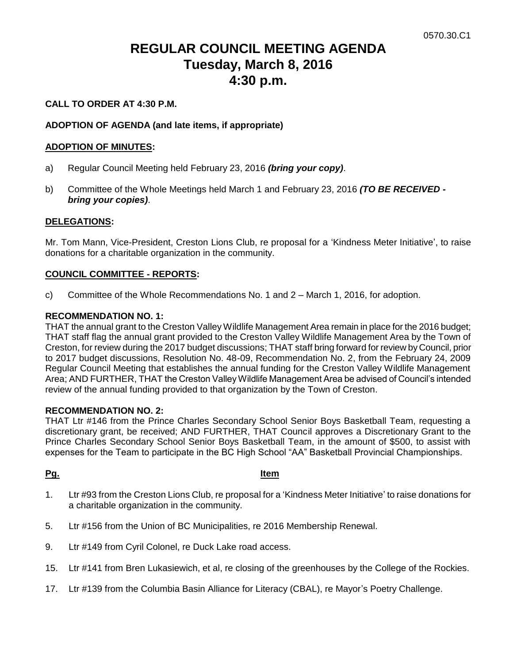# **REGULAR COUNCIL MEETING AGENDA Tuesday, March 8, 2016 4:30 p.m.**

#### **CALL TO ORDER AT 4:30 P.M.**

#### **ADOPTION OF AGENDA (and late items, if appropriate)**

#### **ADOPTION OF MINUTES:**

- a) Regular Council Meeting held February 23, 2016 *(bring your copy)*.
- b) Committee of the Whole Meetings held March 1 and February 23, 2016 *(TO BE RECEIVED bring your copies)*.

#### **DELEGATIONS:**

Mr. Tom Mann, Vice-President, Creston Lions Club, re proposal for a 'Kindness Meter Initiative', to raise donations for a charitable organization in the community.

#### **COUNCIL COMMITTEE - REPORTS:**

c) Committee of the Whole Recommendations No. 1 and 2 – March 1, 2016, for adoption.

#### **RECOMMENDATION NO. 1:**

THAT the annual grant to the Creston Valley Wildlife Management Area remain in place for the 2016 budget; THAT staff flag the annual grant provided to the Creston Valley Wildlife Management Area by the Town of Creston, for review during the 2017 budget discussions; THAT staff bring forward for review by Council, prior to 2017 budget discussions, Resolution No. 48-09, Recommendation No. 2, from the February 24, 2009 Regular Council Meeting that establishes the annual funding for the Creston Valley Wildlife Management Area; AND FURTHER, THAT the Creston Valley Wildlife Management Area be advised of Council's intended review of the annual funding provided to that organization by the Town of Creston.

#### **RECOMMENDATION NO. 2:**

THAT Ltr #146 from the Prince Charles Secondary School Senior Boys Basketball Team, requesting a discretionary grant, be received; AND FURTHER, THAT Council approves a Discretionary Grant to the Prince Charles Secondary School Senior Boys Basketball Team, in the amount of \$500, to assist with expenses for the Team to participate in the BC High School "AA" Basketball Provincial Championships.

#### **Pg. Item**

- 1. Ltr #93 from the Creston Lions Club, re proposal for a 'Kindness Meter Initiative' to raise donations for a charitable organization in the community.
- 5. Ltr #156 from the Union of BC Municipalities, re 2016 Membership Renewal.
- 9. Ltr #149 from Cyril Colonel, re Duck Lake road access.
- 15. Ltr #141 from Bren Lukasiewich, et al, re closing of the greenhouses by the College of the Rockies.
- 17. Ltr #139 from the Columbia Basin Alliance for Literacy (CBAL), re Mayor's Poetry Challenge.